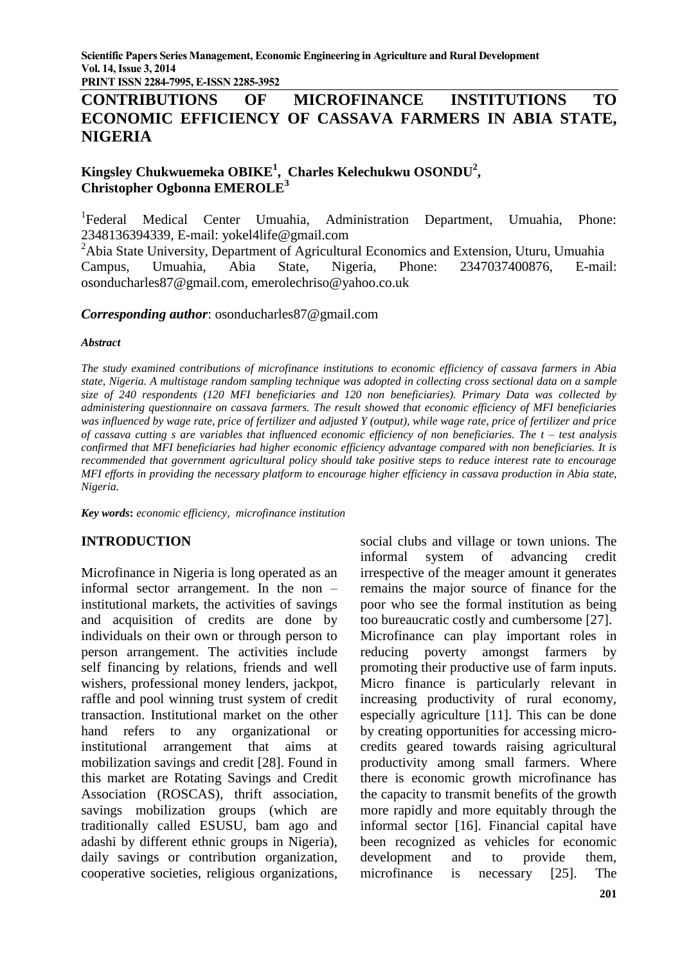**PRINT ISSN 2284-7995, E-ISSN 2285-3952**

# **CONTRIBUTIONS OF MICROFINANCE INSTITUTIONS TO ECONOMIC EFFICIENCY OF CASSAVA FARMERS IN ABIA STATE, NIGERIA**

# **Kingsley Chukwuemeka OBIKE<sup>1</sup> , Charles Kelechukwu OSONDU<sup>2</sup> , Christopher Ogbonna EMEROLE<sup>3</sup>**

<sup>1</sup>Federal Medical Center Umuahia, Administration Department, Umuahia, Phone: 2348136394339, E-mail: yokel4life@gmail.com

<sup>2</sup>Abia State University, Department of Agricultural Economics and Extension, Uturu, Umuahia Campus, Umuahia, Abia State, Nigeria, Phone: 2347037400876, E-mail: osonducharles87@gmail.com, emerolechriso@yahoo.co.uk

#### *Corresponding author*: osonducharles87@gmail.com

#### *Abstract*

*The study examined contributions of microfinance institutions to economic efficiency of cassava farmers in Abia state, Nigeria. A multistage random sampling technique was adopted in collecting cross sectional data on a sample size of 240 respondents (120 MFI beneficiaries and 120 non beneficiaries). Primary Data was collected by administering questionnaire on cassava farmers. The result showed that economic efficiency of MFI beneficiaries was influenced by wage rate, price of fertilizer and adjusted Y (output), while wage rate, price of fertilizer and price of cassava cutting s are variables that influenced economic efficiency of non beneficiaries. The t – test analysis confirmed that MFI beneficiaries had higher economic efficiency advantage compared with non beneficiaries. It is recommended that government agricultural policy should take positive steps to reduce interest rate to encourage MFI efforts in providing the necessary platform to encourage higher efficiency in cassava production in Abia state, Nigeria.*

*Key words***:** *economic efficiency, microfinance institution*

#### **INTRODUCTION**

Microfinance in Nigeria is long operated as an informal sector arrangement. In the non – institutional markets, the activities of savings and acquisition of credits are done by individuals on their own or through person to person arrangement. The activities include self financing by relations, friends and well wishers, professional money lenders, jackpot, raffle and pool winning trust system of credit transaction. Institutional market on the other hand refers to any organizational or institutional arrangement that aims at mobilization savings and credit [28]. Found in this market are Rotating Savings and Credit Association (ROSCAS), thrift association, savings mobilization groups (which are traditionally called ESUSU, bam ago and adashi by different ethnic groups in Nigeria), daily savings or contribution organization, cooperative societies, religious organizations, social clubs and village or town unions. The informal system of advancing credit irrespective of the meager amount it generates remains the major source of finance for the poor who see the formal institution as being too bureaucratic costly and cumbersome [27]. Microfinance can play important roles in reducing poverty amongst farmers by promoting their productive use of farm inputs. Micro finance is particularly relevant in increasing productivity of rural economy, especially agriculture [11]. This can be done by creating opportunities for accessing microcredits geared towards raising agricultural productivity among small farmers. Where there is economic growth microfinance has the capacity to transmit benefits of the growth more rapidly and more equitably through the informal sector [16]. Financial capital have been recognized as vehicles for economic development and to provide them, microfinance is necessary [25]. The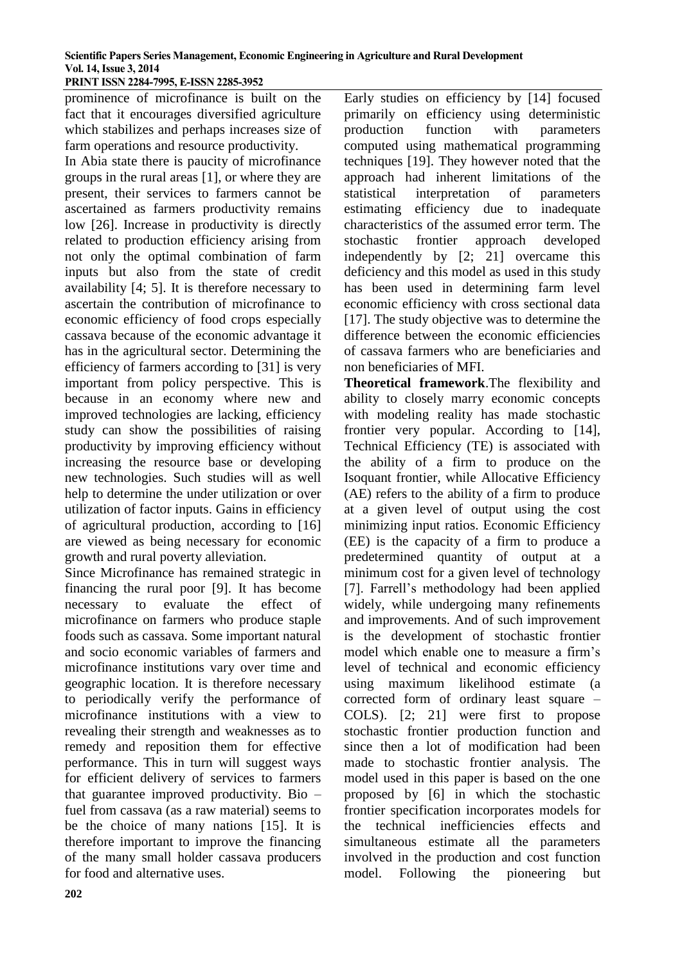**PRINT ISSN 2284-7995, E-ISSN 2285-3952** 

prominence of microfinance is built on the fact that it encourages diversified agriculture which stabilizes and perhaps increases size of farm operations and resource productivity.

In Abia state there is paucity of microfinance groups in the rural areas [1], or where they are present, their services to farmers cannot be ascertained as farmers productivity remains low [26]. Increase in productivity is directly related to production efficiency arising from not only the optimal combination of farm inputs but also from the state of credit availability [4; 5]. It is therefore necessary to ascertain the contribution of microfinance to economic efficiency of food crops especially cassava because of the economic advantage it has in the agricultural sector. Determining the efficiency of farmers according to [31] is very important from policy perspective. This is because in an economy where new and improved technologies are lacking, efficiency study can show the possibilities of raising productivity by improving efficiency without increasing the resource base or developing new technologies. Such studies will as well help to determine the under utilization or over utilization of factor inputs. Gains in efficiency of agricultural production, according to [16] are viewed as being necessary for economic growth and rural poverty alleviation.

Since Microfinance has remained strategic in financing the rural poor [9]. It has become necessary to evaluate the effect of microfinance on farmers who produce staple foods such as cassava. Some important natural and socio economic variables of farmers and microfinance institutions vary over time and geographic location. It is therefore necessary to periodically verify the performance of microfinance institutions with a view to revealing their strength and weaknesses as to remedy and reposition them for effective performance. This in turn will suggest ways for efficient delivery of services to farmers that guarantee improved productivity. Bio – fuel from cassava (as a raw material) seems to be the choice of many nations [15]. It is therefore important to improve the financing of the many small holder cassava producers for food and alternative uses.

Early studies on efficiency by [14] focused primarily on efficiency using deterministic production function with parameters computed using mathematical programming techniques [19]. They however noted that the approach had inherent limitations of the statistical interpretation of parameters estimating efficiency due to inadequate characteristics of the assumed error term. The stochastic frontier approach developed independently by [2; 21] overcame this deficiency and this model as used in this study has been used in determining farm level economic efficiency with cross sectional data [17]. The study objective was to determine the difference between the economic efficiencies of cassava farmers who are beneficiaries and non beneficiaries of MFI.

**Theoretical framework**.The flexibility and ability to closely marry economic concepts with modeling reality has made stochastic frontier very popular. According to [14], Technical Efficiency (TE) is associated with the ability of a firm to produce on the Isoquant frontier, while Allocative Efficiency (AE) refers to the ability of a firm to produce at a given level of output using the cost minimizing input ratios. Economic Efficiency (EE) is the capacity of a firm to produce a predetermined quantity of output at a minimum cost for a given level of technology [7]. Farrell's methodology had been applied widely, while undergoing many refinements and improvements. And of such improvement is the development of stochastic frontier model which enable one to measure a firm's level of technical and economic efficiency using maximum likelihood estimate (a corrected form of ordinary least square – COLS). [2; 21] were first to propose stochastic frontier production function and since then a lot of modification had been made to stochastic frontier analysis. The model used in this paper is based on the one proposed by [6] in which the stochastic frontier specification incorporates models for the technical inefficiencies effects and simultaneous estimate all the parameters involved in the production and cost function model. Following the pioneering but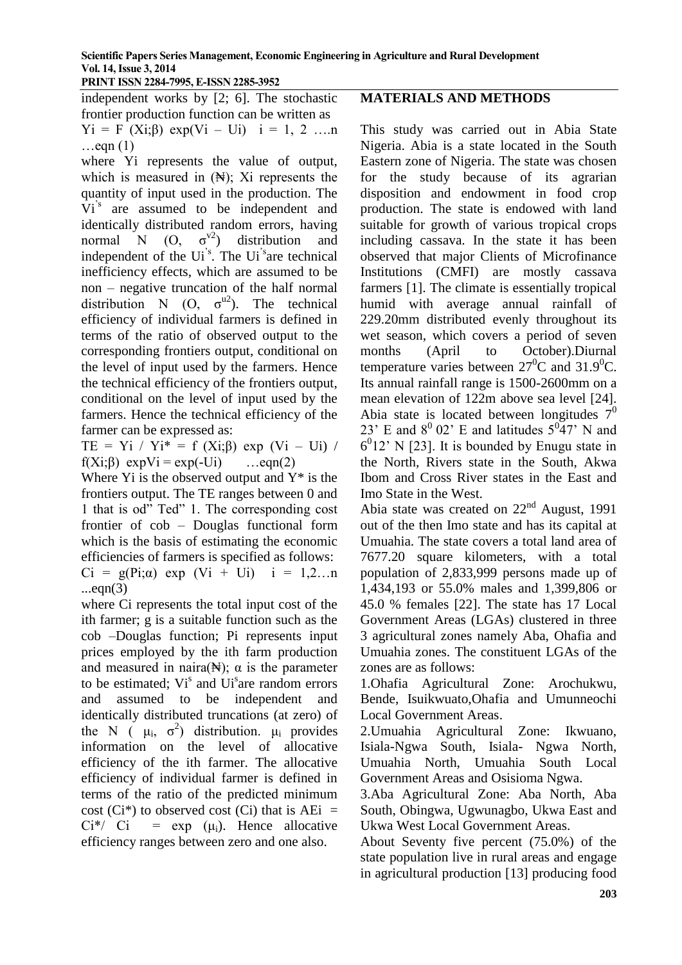independent works by [2; 6]. The stochastic frontier production function can be written as  $Yi = F (Xi; \beta) exp(Vi - Ui)$   $i = 1, 2, \dots n$  $\ldots$ eqn  $(1)$ 

where Yi represents the value of output, which is measured in  $(\mathbb{H})$ ; Xi represents the quantity of input used in the production. The Vi<sup>'s</sup> are assumed to be independent and identically distributed random errors, having normal N  $(O, \sigma^{\vee 2})$  distribution and independent of the Ui<sup>'s</sup>. The Ui<sup>'s</sup>are technical inefficiency effects, which are assumed to be non – negative truncation of the half normal distribution N (O,  $\sigma^{u2}$ ). The technical efficiency of individual farmers is defined in terms of the ratio of observed output to the corresponding frontiers output, conditional on the level of input used by the farmers. Hence the technical efficiency of the frontiers output, conditional on the level of input used by the farmers. Hence the technical efficiency of the farmer can be expressed as:

TE = Yi / Yi<sup>\*</sup> = f (Xi:β) exp (Vi – Ui) / f(Xi; $\beta$ ) expVi = exp(-Ui) ...eqn(2)

Where  $Y_i$  is the observed output and  $Y^*$  is the frontiers output. The TE ranges between 0 and 1 that is od" Ted" 1. The corresponding cost frontier of cob – Douglas functional form which is the basis of estimating the economic efficiencies of farmers is specified as follows: Ci = g(Pi; $\alpha$ ) exp (Vi + Ui) i = 1,2...n  $...eqn(3)$ 

where Ci represents the total input cost of the ith farmer; g is a suitable function such as the cob –Douglas function; Pi represents input prices employed by the ith farm production and measured in naira( $\mathbb{N}$ );  $\alpha$  is the parameter to be estimated;  $Vi^s$  and  $Ui^s$  are random errors and assumed to be independent and identically distributed truncations (at zero) of the N ( $\mu_i$ ,  $\sigma^2$ ) distribution.  $\mu_i$  provides information on the level of allocative efficiency of the ith farmer. The allocative efficiency of individual farmer is defined in terms of the ratio of the predicted minimum cost (Ci<sup>\*</sup>) to observed cost (Ci) that is  $AEi =$  $Ci^*/-Ci = exp(-\mu_i)$ . Hence allocative efficiency ranges between zero and one also.

## **MATERIALS AND METHODS**

This study was carried out in Abia State Nigeria. Abia is a state located in the South Eastern zone of Nigeria. The state was chosen for the study because of its agrarian disposition and endowment in food crop production. The state is endowed with land suitable for growth of various tropical crops including cassava. In the state it has been observed that major Clients of Microfinance Institutions (CMFI) are mostly cassava farmers [1]. The climate is essentially tropical humid with average annual rainfall of 229.20mm distributed evenly throughout its wet season, which covers a period of seven months (April to October).Diurnal temperature varies between  $27^0C$  and  $31.9^0C$ . Its annual rainfall range is 1500-2600mm on a mean elevation of 122m above sea level [24]. Abia state is located between longitudes  $7<sup>0</sup>$ 23' E and  $8^{\circ}$  02' E and latitudes  $5^{\circ}47'$  N and  $6<sup>0</sup>12$ ' N [23]. It is bounded by Enugu state in the North, Rivers state in the South, Akwa Ibom and Cross River states in the East and Imo State in the West.

Abia state was created on  $22<sup>nd</sup>$  August, 1991 out of the then Imo state and has its capital at Umuahia. The state covers a total land area of 7677.20 square kilometers, with a total population of 2,833,999 persons made up of 1,434,193 or 55.0% males and 1,399,806 or 45.0 % females [22]. The state has 17 Local Government Areas (LGAs) clustered in three 3 agricultural zones namely Aba, Ohafia and Umuahia zones. The constituent LGAs of the zones are as follows:

1.Ohafia Agricultural Zone: Arochukwu, Bende, Isuikwuato,Ohafia and Umunneochi Local Government Areas.

2.Umuahia Agricultural Zone: Ikwuano, Isiala-Ngwa South, Isiala- Ngwa North, Umuahia North, Umuahia South Local Government Areas and Osisioma Ngwa.

3.Aba Agricultural Zone: Aba North, Aba South, Obingwa, Ugwunagbo, Ukwa East and Ukwa West Local Government Areas.

About Seventy five percent (75.0%) of the state population live in rural areas and engage in agricultural production [13] producing food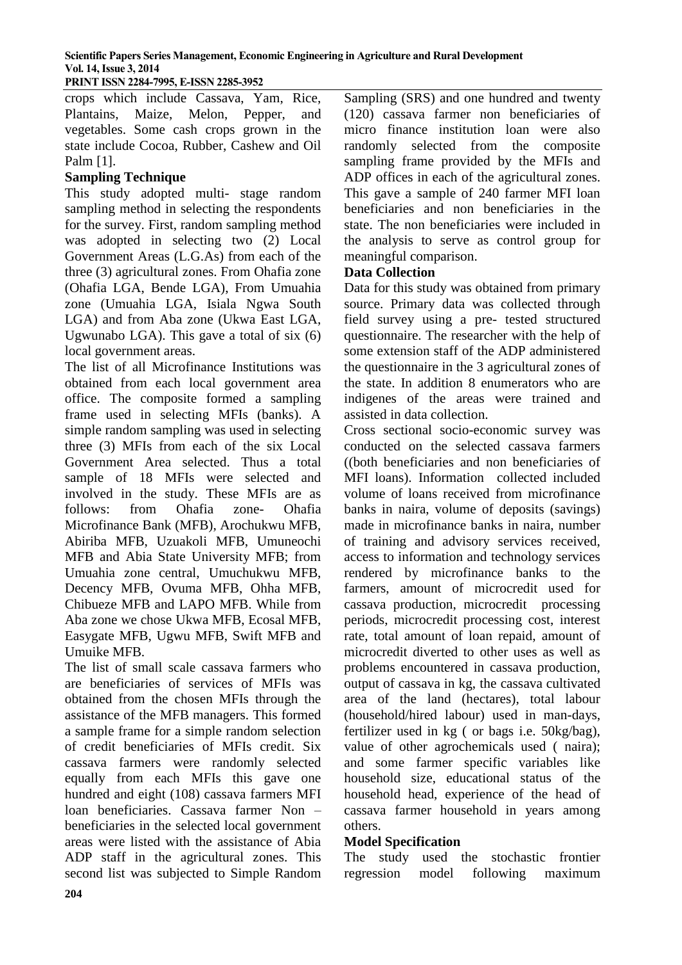**PRINT ISSN 2284-7995, E-ISSN 2285-3952** 

crops which include Cassava, Yam, Rice, Plantains, Maize, Melon, Pepper, and vegetables. Some cash crops grown in the state include Cocoa, Rubber, Cashew and Oil Palm [1].

# **Sampling Technique**

This study adopted multi- stage random sampling method in selecting the respondents for the survey. First, random sampling method was adopted in selecting two (2) Local Government Areas (L.G.As) from each of the three (3) agricultural zones. From Ohafia zone (Ohafia LGA, Bende LGA), From Umuahia zone (Umuahia LGA, Isiala Ngwa South LGA) and from Aba zone (Ukwa East LGA, Ugwunabo LGA). This gave a total of six (6) local government areas.

The list of all Microfinance Institutions was obtained from each local government area office. The composite formed a sampling frame used in selecting MFIs (banks). A simple random sampling was used in selecting three (3) MFIs from each of the six Local Government Area selected. Thus a total sample of 18 MFIs were selected and involved in the study. These MFIs are as follows: from Ohafia zone- Ohafia Microfinance Bank (MFB), Arochukwu MFB, Abiriba MFB, Uzuakoli MFB, Umuneochi MFB and Abia State University MFB; from Umuahia zone central, Umuchukwu MFB, Decency MFB, Ovuma MFB, Ohha MFB, Chibueze MFB and LAPO MFB. While from Aba zone we chose Ukwa MFB, Ecosal MFB, Easygate MFB, Ugwu MFB, Swift MFB and Umuike MFB.

The list of small scale cassava farmers who are beneficiaries of services of MFIs was obtained from the chosen MFIs through the assistance of the MFB managers. This formed a sample frame for a simple random selection of credit beneficiaries of MFIs credit. Six cassava farmers were randomly selected equally from each MFIs this gave one hundred and eight (108) cassava farmers MFI loan beneficiaries. Cassava farmer Non – beneficiaries in the selected local government areas were listed with the assistance of Abia ADP staff in the agricultural zones. This second list was subjected to Simple Random

Sampling (SRS) and one hundred and twenty (120) cassava farmer non beneficiaries of micro finance institution loan were also randomly selected from the composite sampling frame provided by the MFIs and ADP offices in each of the agricultural zones. This gave a sample of 240 farmer MFI loan beneficiaries and non beneficiaries in the state. The non beneficiaries were included in the analysis to serve as control group for meaningful comparison.

### **Data Collection**

Data for this study was obtained from primary source. Primary data was collected through field survey using a pre- tested structured questionnaire. The researcher with the help of some extension staff of the ADP administered the questionnaire in the 3 agricultural zones of the state. In addition 8 enumerators who are indigenes of the areas were trained and assisted in data collection.

Cross sectional socio-economic survey was conducted on the selected cassava farmers ((both beneficiaries and non beneficiaries of MFI loans). Information collected included volume of loans received from microfinance banks in naira, volume of deposits (savings) made in microfinance banks in naira, number of training and advisory services received, access to information and technology services rendered by microfinance banks to the farmers, amount of microcredit used for cassava production, microcredit processing periods, microcredit processing cost, interest rate, total amount of loan repaid, amount of microcredit diverted to other uses as well as problems encountered in cassava production, output of cassava in kg, the cassava cultivated area of the land (hectares), total labour (household/hired labour) used in man-days, fertilizer used in kg ( or bags i.e. 50kg/bag), value of other agrochemicals used ( naira); and some farmer specific variables like household size, educational status of the household head, experience of the head of cassava farmer household in years among others.

#### **Model Specification**

The study used the stochastic frontier regression model following maximum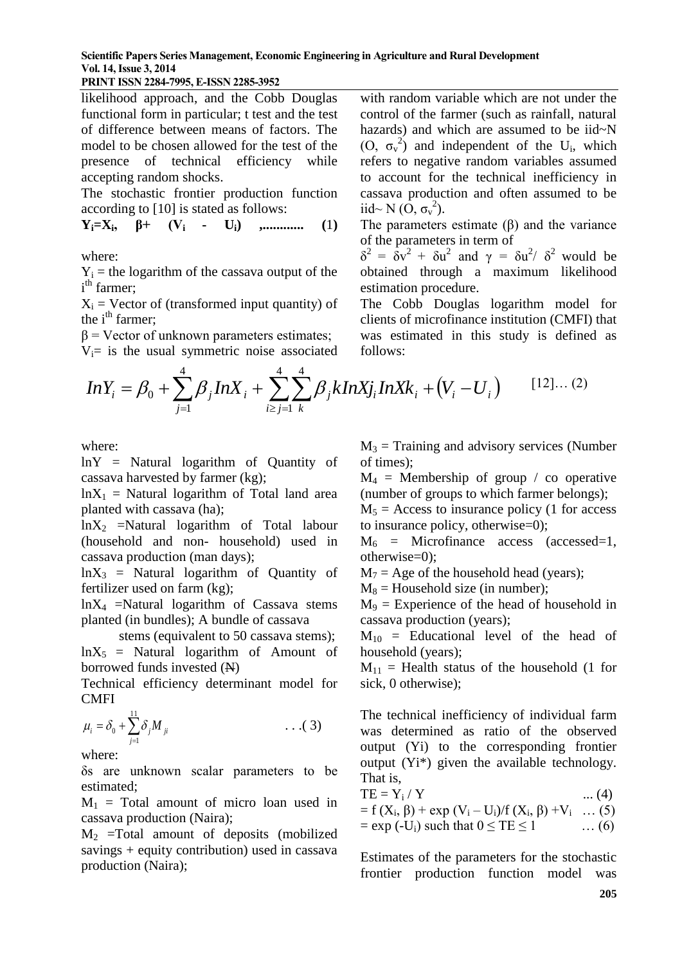**Scientific Papers Series Management, Economic Engineering in Agriculture and Rural Development Vol. 14, Issue 3, 2014**

#### **PRINT ISSN 2284-7995, E-ISSN 2285-3952**

likelihood approach, and the Cobb Douglas functional form in particular; t test and the test of difference between means of factors. The model to be chosen allowed for the test of the presence of technical efficiency while accepting random shocks.

The stochastic frontier production function according to [10] is stated as follows:

$$
Y_i = X_i, \quad \beta^+ \quad (V_i \quad - \quad U_i) \quad , \dots \dots \dots \dots \quad (1)
$$

where:

 $Y_i$  = the logarithm of the cassava output of the i<sup>th</sup> farmer;

 $X_i$  = Vector of (transformed input quantity) of the i<sup>th</sup> farmer;

 $β = Vector of unknown parameters estimates;$ 

 $V_i$ = is the usual symmetric noise associated

with random variable which are not under the control of the farmer (such as rainfall, natural hazards) and which are assumed to be iid~N (O,  $\sigma_v^2$ ) and independent of the U<sub>i</sub>, which refers to negative random variables assumed to account for the technical inefficiency in cassava production and often assumed to be iid~ N (O,  $\sigma_v^2$ ).

The parameters estimate (β) and the variance of the parameters in term of

 $\delta^2 = \delta v^2 + \delta u^2$  and  $\gamma = \delta u^2 / \delta^2$  would be obtained through a maximum likelihood estimation procedure.

The Cobb Douglas logarithm model for clients of microfinance institution (CMFI) that was estimated in this study is defined as follows:

$$
InY_i = \beta_0 + \sum_{j=1}^4 \beta_j InX_i + \sum_{i \ge j=1}^4 \sum_k \beta_j kInXj_i InXk_i + (V_i - U_i)
$$
 [12]... (2)

where:

lnY = Natural logarithm of Quantity of cassava harvested by farmer (kg);

 $lnX_1$  = Natural logarithm of Total land area planted with cassava (ha);

 $ln X_2$  =Natural logarithm of Total labour (household and non- household) used in cassava production (man days);

 $lnX_3$  = Natural logarithm of Quantity of fertilizer used on farm (kg);

 $lnX_4$  =Natural logarithm of Cassava stems planted (in bundles); A bundle of cassava

 stems (equivalent to 50 cassava stems);  $lnX_5$  = Natural logarithm of Amount of borrowed funds invested (N)

Technical efficiency determinant model for **CMFI** 

$$
\mu_i = \delta_0 + \sum_{j=1}^{11} \delta_j M_{ji} \qquad \qquad \ldots (3)
$$

where:

δs are unknown scalar parameters to be estimated;

 $M_1$  = Total amount of micro loan used in cassava production (Naira);

 $M<sub>2</sub>$  =Total amount of deposits (mobilized savings + equity contribution) used in cassava production (Naira);

 $M_3$  = Training and advisory services (Number of times);

 $M_4$  = Membership of group / co operative (number of groups to which farmer belongs);

 $M_5$  = Access to insurance policy (1 for access to insurance policy, otherwise=0);

 $M_6$  = Microfinance access (accessed=1, otherwise=0);

 $M_7$  = Age of the household head (years);

 $M_8$  = Household size (in number);

 $M<sub>9</sub>$  = Experience of the head of household in cassava production (years);

 $M_{10}$  = Educational level of the head of household (years);

 $M_{11}$  = Health status of the household (1 for sick, 0 otherwise);

The technical inefficiency of individual farm was determined as ratio of the observed output (Yi) to the corresponding frontier output (Yi\*) given the available technology. That is,

$$
TE = Y_i / Y \qquad \qquad \dots (4)
$$

$$
= f (Xi, β) + exp (Vi – Ui)/f (Xi, β) + Vi ... (5)= exp (-Ui) such that 0 ≤ TE ≤ 1 ... (6)
$$

Estimates of the parameters for the stochastic frontier production function model was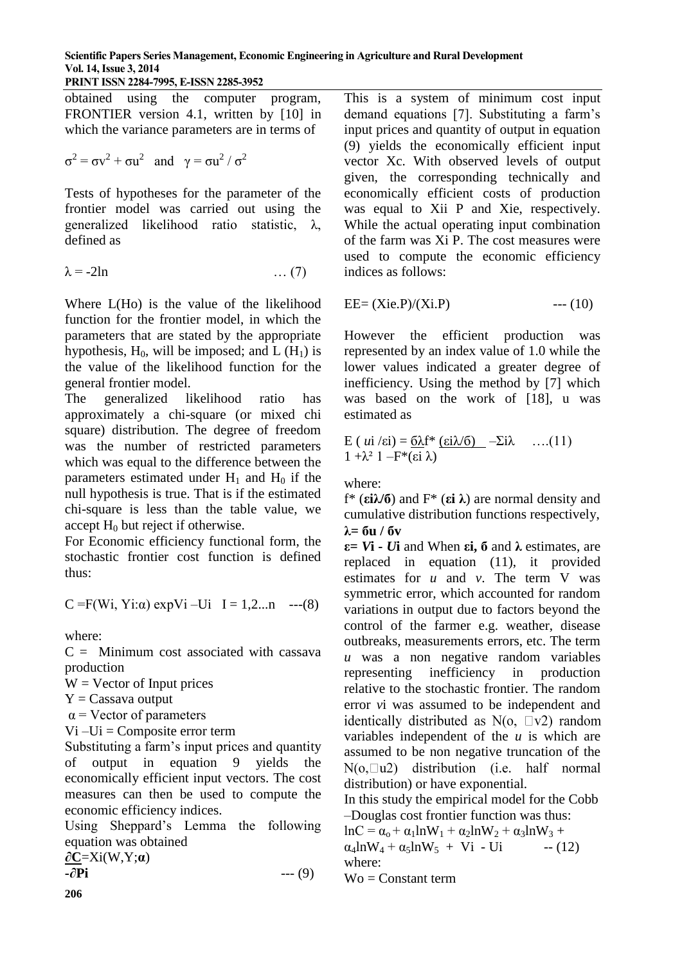#### **Scientific Papers Series Management, Economic Engineering in Agriculture and Rural Development Vol. 14, Issue 3, 2014 PRINT ISSN 2284-7995, E-ISSN 2285-3952**

obtained using the computer program, FRONTIER version 4.1, written by [10] in which the variance parameters are in terms of

$$
\sigma^2 = \sigma v^2 + \sigma u^2
$$
 and  $\gamma = \sigma u^2 / \sigma^2$ 

Tests of hypotheses for the parameter of the frontier model was carried out using the generalized likelihood ratio statistic, λ, defined as

$$
\lambda = -2\ln \tag{7}
$$

Where L(Ho) is the value of the likelihood function for the frontier model, in which the parameters that are stated by the appropriate hypothesis,  $H_0$ , will be imposed; and  $L(H_1)$  is the value of the likelihood function for the general frontier model.

The generalized likelihood ratio has approximately a chi-square (or mixed chi square) distribution. The degree of freedom was the number of restricted parameters which was equal to the difference between the parameters estimated under  $H_1$  and  $H_0$  if the null hypothesis is true. That is if the estimated chi-square is less than the table value, we accept  $H_0$  but reject if otherwise.

For Economic efficiency functional form, the stochastic frontier cost function is defined thus:

$$
C = F(Wi, Yi:\alpha) \exp Vi -Ui \ I = 1, 2...n
$$
 --- (8)

where:

 $C =$  Minimum cost associated with cassava production

 $W =$  Vector of Input prices

 $Y =$ Cassava output

 $\alpha$  = Vector of parameters

 $Vi$  –Ui = Composite error term

Substituting a farm's input prices and quantity of output in equation 9 yields the economically efficient input vectors. The cost measures can then be used to compute the economic efficiency indices.

Using Sheppard's Lemma the following equation was obtained

$$
\frac{\partial \mathbf{C}}{\partial \mathbf{P} \mathbf{i}} = X\mathbf{i}(W, Y; \boldsymbol{\alpha}) \tag{9}
$$

This is a system of minimum cost input demand equations [7]. Substituting a farm's input prices and quantity of output in equation (9) yields the economically efficient input vector Xc. With observed levels of output given, the corresponding technically and economically efficient costs of production was equal to Xii P and Xie, respectively. While the actual operating input combination of the farm was Xi P. The cost measures were used to compute the economic efficiency indices as follows:

$$
EE = (Xie.P)/(Xi.P) \t--- (10)
$$

However the efficient production was represented by an index value of 1.0 while the lower values indicated a greater degree of inefficiency. Using the method by [7] which was based on the work of [18], u was estimated as

E (*ui* /
$$
\varepsilon
$$
i) =  $\frac{6\lambda f^*}{(\varepsilon i \lambda) - \Sigma i \lambda}$  ....(11)  
1 + $\lambda^2$ 1 -F\*( $\varepsilon i \lambda$ )

where:

f\* (**εiλ/б**) and F\* (**εi λ**) are normal density and cumulative distribution functions respectively, **λ= бu / бv**

**ε**=  $V$ **i** -  $U$ **i** and When **εi**, **δ** and  $\lambda$  estimates, are replaced in equation (11), it provided estimates for *u* and *v*. The term V was symmetric error, which accounted for random variations in output due to factors beyond the control of the farmer e.g. weather, disease outbreaks, measurements errors, etc. The term *u* was a non negative random variables representing inefficiency in production relative to the stochastic frontier. The random error *v*i was assumed to be independent and identically distributed as  $N(o, \Box v2)$  random variables independent of the *u* is which are assumed to be non negative truncation of the  $N(o, \Box u2)$  distribution (i.e. half normal distribution) or have exponential.

In this study the empirical model for the Cobb –Douglas cost frontier function was thus:

 $lnC = \alpha_0 + \alpha_1 lnW_1 + \alpha_2 lnW_2 + \alpha_3 lnW_3 +$  $\alpha_4$ lnW<sub>4</sub> +  $\alpha_5$ lnW<sub>5</sub> + Vi - Ui -- (12) where:  $\text{Wo} = \text{Constant term}$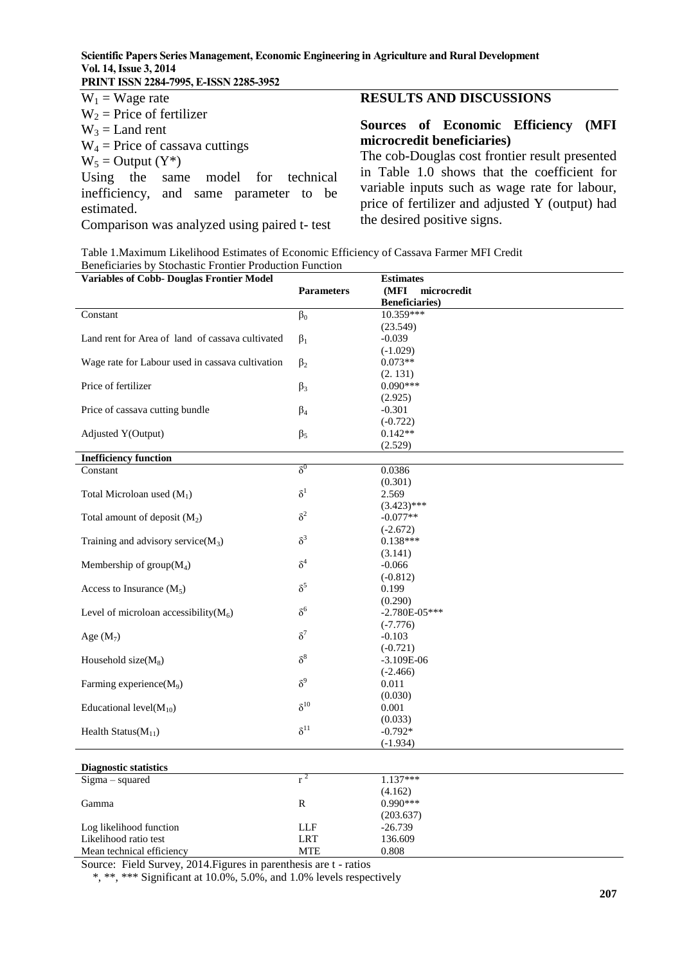#### **Scientific Papers Series Management, Economic Engineering in Agriculture and Rural Development Vol. 14, Issue 3, 2014 PRINT ISSN 2284-7995, E-ISSN 2285-3952**

| $W_1$ = Wage rate                      | RF  |
|----------------------------------------|-----|
| $W_2$ = Price of fertilizer            |     |
| $W_3$ = Land rent                      | So  |
| $W_4$ = Price of cassava cuttings      | mi  |
| $W_5 =$ Output $(Y^*)$                 | Th  |
| Using the same model for technical     | in  |
| inefficiency, and same parameter to be | va  |
| estimated.                             | pri |

Comparison was analyzed using paired t- test

### **RESULTS AND DISCUSSIONS**

#### **Sources of Economic Efficiency (MFI microcredit beneficiaries)**

The cob-Douglas cost frontier result presented Table 1.0 shows that the coefficient for riable inputs such as wage rate for labour, ice of fertilizer and adjusted Y (output) had the desired positive signs.

Table 1.Maximum Likelihood Estimates of Economic Efficiency of Cassava Farmer MFI Credit Beneficiaries by Stochastic Frontier Production Function

| <b>Variables of Cobb- Douglas Frontier Model</b> |                   | <b>Estimates</b>       |
|--------------------------------------------------|-------------------|------------------------|
|                                                  | <b>Parameters</b> | (MFI<br>microcredit    |
|                                                  |                   | <b>Beneficiaries</b> ) |
| Constant                                         | $\beta_0$         | 10.359***              |
|                                                  |                   | (23.549)               |
| Land rent for Area of land of cassava cultivated | $\beta_1$         | $-0.039$               |
|                                                  |                   | $(-1.029)$             |
| Wage rate for Labour used in cassava cultivation | $\beta_2$         | $0.073**$              |
|                                                  |                   | (2.131)                |
| Price of fertilizer                              | $\beta_3$         | $0.090***$             |
|                                                  |                   |                        |
|                                                  |                   | (2.925)                |
| Price of cassava cutting bundle                  | $\beta_4$         | $-0.301$               |
|                                                  |                   | $(-0.722)$             |
| Adjusted Y(Output)                               | $\beta_5$         | $0.142**$              |
|                                                  |                   | (2.529)                |
| <b>Inefficiency function</b>                     |                   |                        |
| Constant                                         | $\delta^0$        | 0.0386                 |
|                                                  |                   | (0.301)                |
| Total Microloan used $(M_1)$                     | $\delta^1$        | 2.569                  |
|                                                  |                   | $(3.423)$ ***          |
| Total amount of deposit $(M_2)$                  | $\delta^2$        | $-0.077**$             |
|                                                  |                   | $(-2.672)$             |
| Training and advisory service( $M_3$ )           | $\delta^3$        | $0.138***$             |
|                                                  |                   | (3.141)                |
| Membership of $group(M_4)$                       | $\delta^4$        | $-0.066$               |
|                                                  |                   | $(-0.812)$             |
| Access to Insurance $(M_5)$                      | $\delta^5$        | 0.199                  |
|                                                  |                   | (0.290)                |
| Level of microloan accessibility( $M_6$ )        | $\delta^6$        | $-2.780E - 05***$      |
|                                                  |                   | $(-7.776)$             |
| Age $(M_7)$                                      | $\delta^7$        | $-0.103$               |
|                                                  |                   | $(-0.721)$             |
| Household size $(M_8)$                           | $\delta^8$        | $-3.109E-06$           |
|                                                  |                   | $(-2.466)$             |
| Farming experience(M <sub>9</sub> )              | $\delta^9$        | 0.011                  |
|                                                  |                   | (0.030)                |
| Educational level( $M_{10}$ )                    | $\delta^{10}$     | 0.001                  |
|                                                  |                   | (0.033)                |
| Health Status( $M_{11}$ )                        | $\delta^{11}$     | $-0.792*$              |
|                                                  |                   | $(-1.934)$             |
|                                                  |                   |                        |
| <b>Diagnostic statistics</b>                     |                   |                        |
| Sigma - squared                                  | $r^2$             | $1.137***$             |
|                                                  |                   | (4.162)                |
| Gamma                                            | $\mathbb{R}$      | $0.990***$             |
|                                                  |                   |                        |
|                                                  |                   | (203.637)              |
| Log likelihood function                          | LLF               | $-26.739$              |
| Likelihood ratio test                            | <b>LRT</b>        | 136.609                |
| Mean technical efficiency                        | <b>MTE</b>        | 0.808                  |

Source: Field Survey, 2014.Figures in parenthesis are t - ratios

\*, \*\*, \*\*\* Significant at 10.0%, 5.0%, and 1.0% levels respectively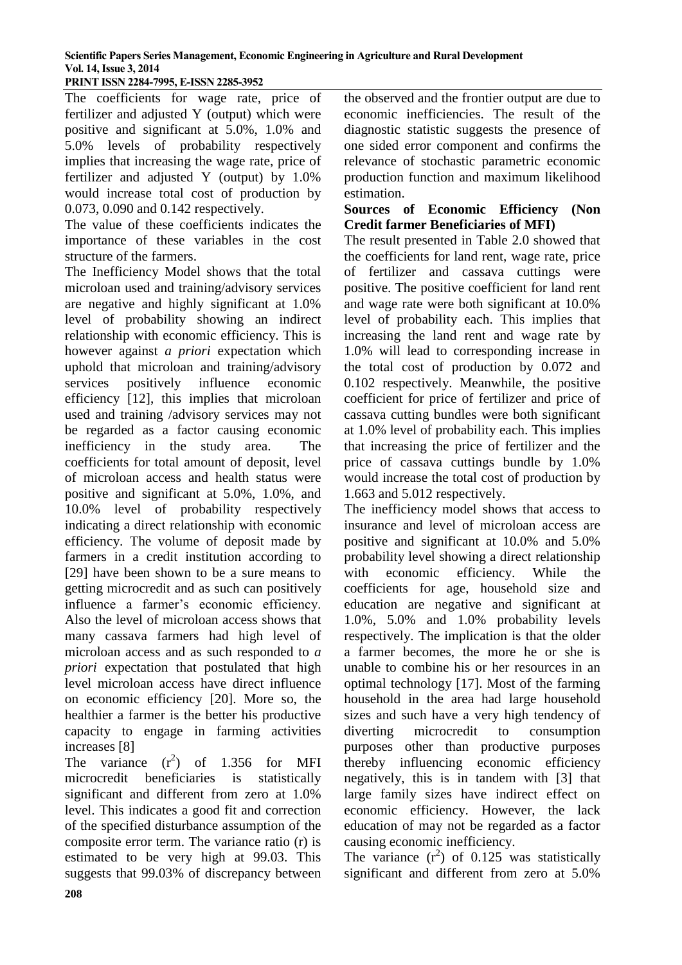**PRINT ISSN 2284-7995, E-ISSN 2285-3952** 

The coefficients for wage rate, price of fertilizer and adjusted Y (output) which were positive and significant at 5.0%, 1.0% and 5.0% levels of probability respectively implies that increasing the wage rate, price of fertilizer and adjusted Y (output) by 1.0% would increase total cost of production by 0.073, 0.090 and 0.142 respectively.

The value of these coefficients indicates the importance of these variables in the cost structure of the farmers.

The Inefficiency Model shows that the total microloan used and training/advisory services are negative and highly significant at 1.0% level of probability showing an indirect relationship with economic efficiency. This is however against *a priori* expectation which uphold that microloan and training/advisory services positively influence economic efficiency [12], this implies that microloan used and training /advisory services may not be regarded as a factor causing economic inefficiency in the study area. The coefficients for total amount of deposit, level of microloan access and health status were positive and significant at 5.0%, 1.0%, and 10.0% level of probability respectively indicating a direct relationship with economic efficiency. The volume of deposit made by farmers in a credit institution according to [29] have been shown to be a sure means to getting microcredit and as such can positively influence a farmer's economic efficiency. Also the level of microloan access shows that many cassava farmers had high level of microloan access and as such responded to *a priori* expectation that postulated that high level microloan access have direct influence on economic efficiency [20]. More so, the healthier a farmer is the better his productive capacity to engage in farming activities increases [8]

The variance  $(r^2)$  of 1.356 for MFI microcredit beneficiaries is statistically significant and different from zero at 1.0% level. This indicates a good fit and correction of the specified disturbance assumption of the composite error term. The variance ratio (r) is estimated to be very high at 99.03. This suggests that 99.03% of discrepancy between

the observed and the frontier output are due to economic inefficiencies. The result of the diagnostic statistic suggests the presence of one sided error component and confirms the relevance of stochastic parametric economic production function and maximum likelihood estimation.

### **Sources of Economic Efficiency (Non Credit farmer Beneficiaries of MFI)**

The result presented in Table 2.0 showed that the coefficients for land rent, wage rate, price of fertilizer and cassava cuttings were positive. The positive coefficient for land rent and wage rate were both significant at 10.0% level of probability each. This implies that increasing the land rent and wage rate by 1.0% will lead to corresponding increase in the total cost of production by 0.072 and 0.102 respectively. Meanwhile, the positive coefficient for price of fertilizer and price of cassava cutting bundles were both significant at 1.0% level of probability each. This implies that increasing the price of fertilizer and the price of cassava cuttings bundle by 1.0% would increase the total cost of production by 1.663 and 5.012 respectively.

The inefficiency model shows that access to insurance and level of microloan access are positive and significant at 10.0% and 5.0% probability level showing a direct relationship with economic efficiency. While the coefficients for age, household size and education are negative and significant at 1.0%, 5.0% and 1.0% probability levels respectively. The implication is that the older a farmer becomes, the more he or she is unable to combine his or her resources in an optimal technology [17]. Most of the farming household in the area had large household sizes and such have a very high tendency of diverting microcredit to consumption purposes other than productive purposes thereby influencing economic efficiency negatively, this is in tandem with [3] that large family sizes have indirect effect on economic efficiency. However, the lack education of may not be regarded as a factor causing economic inefficiency.

The variance  $(r^2)$  of 0.125 was statistically significant and different from zero at 5.0%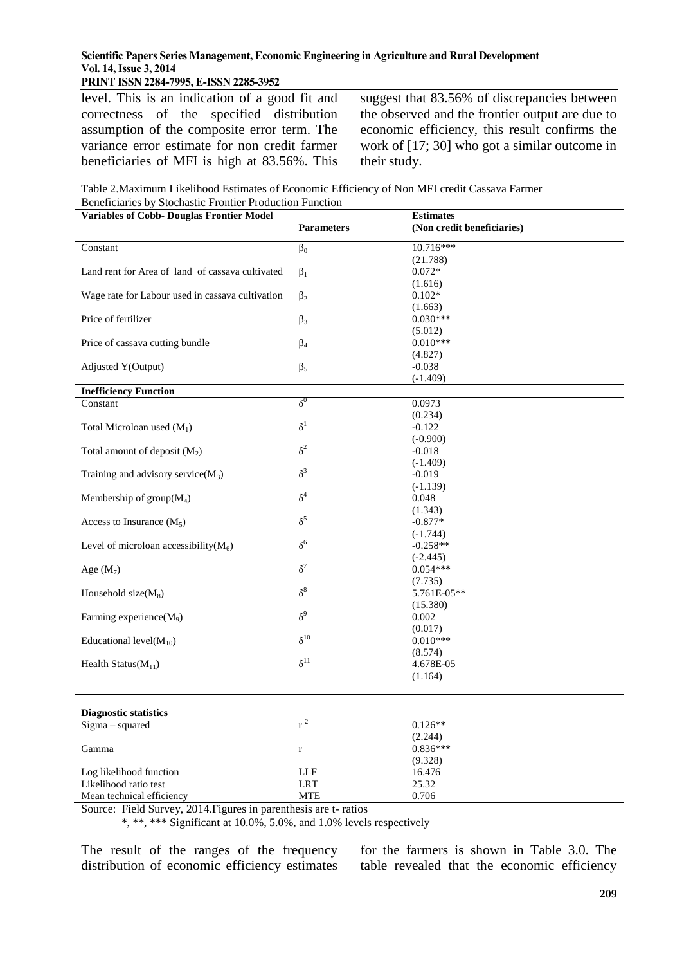#### **PRINT ISSN 2284-7995, E-ISSN 2285-3952**

level. This is an indication of a good fit and correctness of the specified distribution assumption of the composite error term. The variance error estimate for non credit farmer beneficiaries of MFI is high at 83.56%. This suggest that 83.56% of discrepancies between the observed and the frontier output are due to economic efficiency, this result confirms the work of [17; 30] who got a similar outcome in their study.

| Table 2. Maximum Likelihood Estimates of Economic Efficiency of Non MFI credit Cassava Farmer |
|-----------------------------------------------------------------------------------------------|
| Beneficiaries by Stochastic Frontier Production Function                                      |

| <b>Variables of Cobb- Douglas Frontier Model</b> |                   | <b>Estimates</b>           |
|--------------------------------------------------|-------------------|----------------------------|
|                                                  | <b>Parameters</b> | (Non credit beneficiaries) |
| Constant                                         | $\beta_0$         | 10.716***                  |
|                                                  |                   | (21.788)                   |
| Land rent for Area of land of cassava cultivated | $\beta_1$         | $0.072*$                   |
|                                                  |                   | (1.616)                    |
| Wage rate for Labour used in cassava cultivation | $\beta_2$         | $0.102*$                   |
|                                                  |                   | (1.663)                    |
| Price of fertilizer                              | $\beta_3$         | $0.030***$                 |
|                                                  | $\beta_4$         | (5.012)<br>$0.010***$      |
| Price of cassava cutting bundle                  |                   | (4.827)                    |
| Adjusted Y(Output)                               | $\beta_5$         | $-0.038$                   |
|                                                  |                   | $(-1.409)$                 |
| <b>Inefficiency Function</b>                     |                   |                            |
| Constant                                         | $\delta^0$        | 0.0973                     |
|                                                  |                   | (0.234)                    |
| Total Microloan used $(M_1)$                     | $\delta^1$        | $-0.122$                   |
|                                                  |                   | $(-0.900)$                 |
| Total amount of deposit $(M_2)$                  | $\delta^2$        | $-0.018$                   |
|                                                  |                   | $(-1.409)$                 |
| Training and advisory service( $M_3$ )           | $\delta^3$        | $-0.019$                   |
|                                                  |                   | $(-1.139)$                 |
| Membership of $group(M_4)$                       | $\delta^4$        | 0.048                      |
|                                                  | $\delta^5$        | (1.343)                    |
| Access to Insurance $(M_5)$                      |                   | $-0.877*$                  |
| Level of microloan accessibility( $M_6$ )        | $\delta^6$        | $(-1.744)$<br>$-0.258**$   |
|                                                  |                   | $(-2.445)$                 |
| Age $(M_7)$                                      | $\delta^7$        | $0.054***$                 |
|                                                  |                   | (7.735)                    |
| Household size $(M_8)$                           | $\delta^8$        | 5.761E-05**                |
|                                                  |                   | (15.380)                   |
| Farming experience(M <sub>9</sub> )              | $\delta^9$        | 0.002                      |
|                                                  |                   | (0.017)                    |
| Educational level( $M_{10}$ )                    | $\delta^{10}$     | $0.010***$                 |
|                                                  |                   | (8.574)                    |
| Health Status( $M_{11}$ )                        | $\delta^{11}$     | 4.678E-05                  |
|                                                  |                   | (1.164)                    |
| <b>Diagnostic statistics</b>                     |                   |                            |
| Sigma - squared                                  | $r^2$             | $0.126**$                  |
|                                                  |                   | (2.244)                    |
| Gamma                                            | $\mathbf r$       | $0.836***$                 |
|                                                  |                   | (9.328)                    |
| Log likelihood function                          | LLF               | 16.476                     |
| Likelihood ratio test                            | <b>LRT</b>        | 25.32                      |
| Mean technical efficiency                        | <b>MTE</b>        | 0.706                      |

Source: Field Survey, 2014.Figures in parenthesis are t- ratios

\*, \*\*, \*\*\* Significant at 10.0%, 5.0%, and 1.0% levels respectively

The result of the ranges of the frequency distribution of economic efficiency estimates for the farmers is shown in Table 3.0. The table revealed that the economic efficiency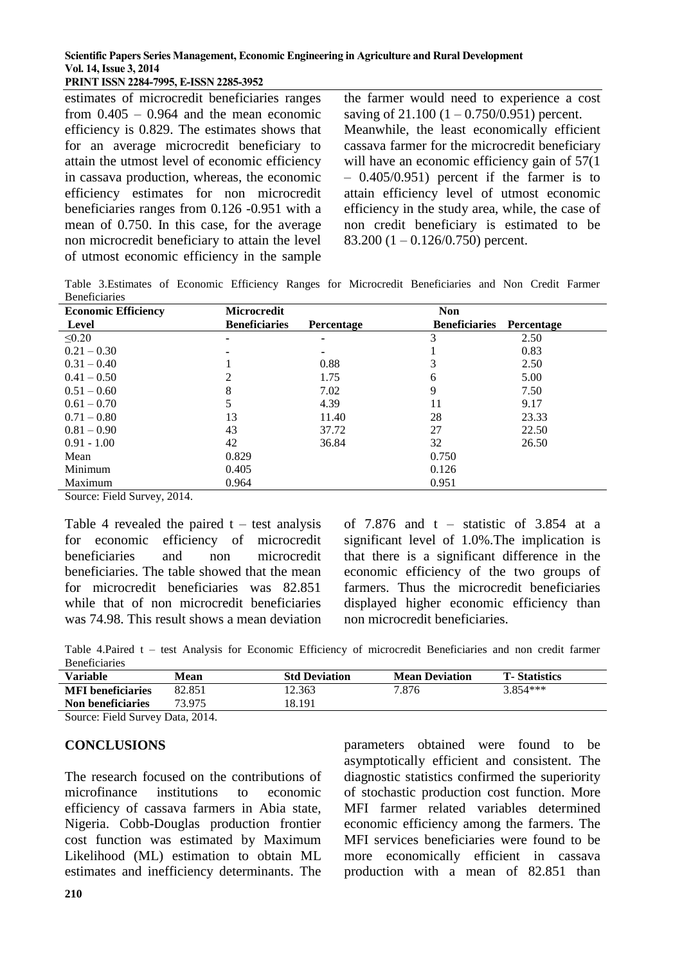**PRINT ISSN 2284-7995, E-ISSN 2285-3952** 

estimates of microcredit beneficiaries ranges from  $0.405 - 0.964$  and the mean economic efficiency is 0.829. The estimates shows that for an average microcredit beneficiary to attain the utmost level of economic efficiency in cassava production, whereas, the economic efficiency estimates for non microcredit beneficiaries ranges from 0.126 -0.951 with a mean of 0.750. In this case, for the average non microcredit beneficiary to attain the level of utmost economic efficiency in the sample

the farmer would need to experience a cost saving of  $21.100 (1 - 0.750/0.951)$  percent. Meanwhile, the least economically efficient cassava farmer for the microcredit beneficiary will have an economic efficiency gain of  $57(1)$  $-0.405/0.951$ ) percent if the farmer is to attain efficiency level of utmost economic efficiency in the study area, while, the case of non credit beneficiary is estimated to be 83.200  $(1 - 0.126/0.750)$  percent.

Table 3.Estimates of Economic Efficiency Ranges for Microcredit Beneficiaries and Non Credit Farmer Beneficiaries

| <b>Economic Efficiency</b> | <b>Microcredit</b>   |            | <b>Non</b>           |            |
|----------------------------|----------------------|------------|----------------------|------------|
| Level                      | <b>Beneficiaries</b> | Percentage | <b>Beneficiaries</b> | Percentage |
| $\leq 0.20$                |                      |            |                      | 2.50       |
| $0.21 - 0.30$              |                      |            |                      | 0.83       |
| $0.31 - 0.40$              |                      | 0.88       |                      | 2.50       |
| $0.41 - 0.50$              |                      | 1.75       | 6                    | 5.00       |
| $0.51 - 0.60$              | 8                    | 7.02       | 9                    | 7.50       |
| $0.61 - 0.70$              | 5                    | 4.39       | 11                   | 9.17       |
| $0.71 - 0.80$              | 13                   | 11.40      | 28                   | 23.33      |
| $0.81 - 0.90$              | 43                   | 37.72      | 27                   | 22.50      |
| $0.91 - 1.00$              | 42                   | 36.84      | 32                   | 26.50      |
| Mean                       | 0.829                |            | 0.750                |            |
| Minimum                    | 0.405                |            | 0.126                |            |
| Maximum                    | 0.964                |            | 0.951                |            |

Source: Field Survey, 2014.

Table 4 revealed the paired  $t - test$  analysis for economic efficiency of microcredit beneficiaries and non microcredit beneficiaries. The table showed that the mean for microcredit beneficiaries was 82.851 while that of non microcredit beneficiaries was 74.98. This result shows a mean deviation of  $7.876$  and  $t -$  statistic of  $3.854$  at a significant level of 1.0%.The implication is that there is a significant difference in the economic efficiency of the two groups of farmers. Thus the microcredit beneficiaries displayed higher economic efficiency than non microcredit beneficiaries.

Table 4.Paired t – test Analysis for Economic Efficiency of microcredit Beneficiaries and non credit farmer Beneficiaries

| <b>Variable</b>                      | Mean   | <b>Std Deviation</b> | <b>Mean Deviation</b> | <b>T</b> -Statistics |
|--------------------------------------|--------|----------------------|-----------------------|----------------------|
| <b>MFI</b> beneficiaries             | 82.851 | 12.363               | 7.876                 | $3.854***$           |
| Non beneficiaries                    | 73.975 | 18.191               |                       |                      |
| $0.$ $P'$ 110 $\ldots$ $P_{14}$ 0014 |        |                      |                       |                      |

Source: Field Survey Data, 2014.

#### **CONCLUSIONS**

The research focused on the contributions of microfinance institutions to economic efficiency of cassava farmers in Abia state, Nigeria. Cobb-Douglas production frontier cost function was estimated by Maximum Likelihood (ML) estimation to obtain ML estimates and inefficiency determinants. The

parameters obtained were found to be asymptotically efficient and consistent. The diagnostic statistics confirmed the superiority of stochastic production cost function. More MFI farmer related variables determined economic efficiency among the farmers. The MFI services beneficiaries were found to be more economically efficient in cassava production with a mean of 82.851 than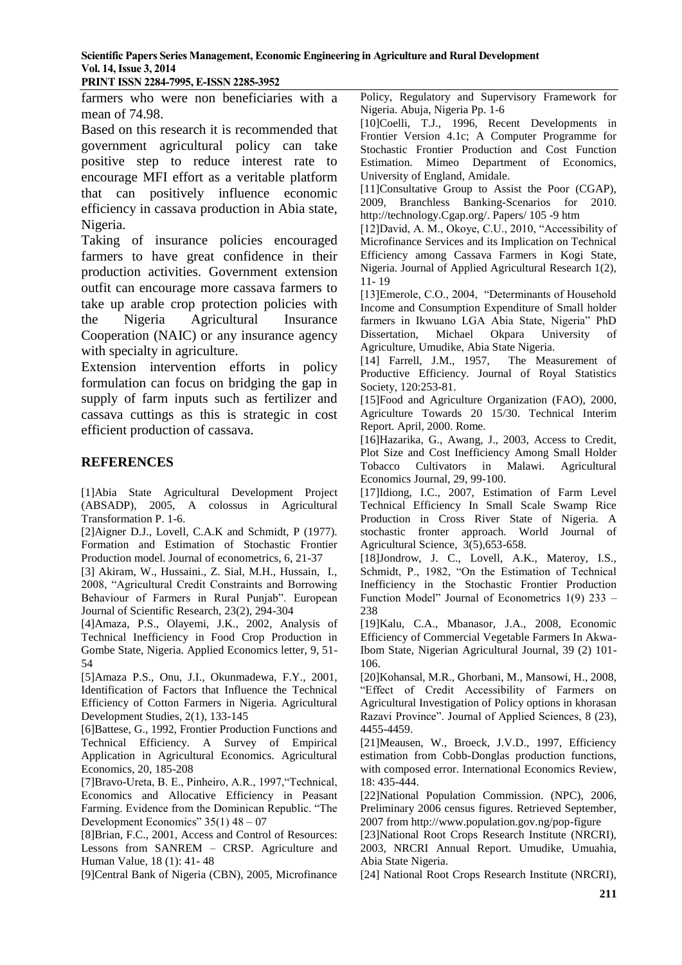**PRINT ISSN 2284-7995, E-ISSN 2285-3952**

farmers who were non beneficiaries with a mean of 74.98.

Based on this research it is recommended that government agricultural policy can take positive step to reduce interest rate to encourage MFI effort as a veritable platform that can positively influence economic efficiency in cassava production in Abia state, Nigeria.

Taking of insurance policies encouraged farmers to have great confidence in their production activities. Government extension outfit can encourage more cassava farmers to take up arable crop protection policies with the Nigeria Agricultural Insurance Cooperation (NAIC) or any insurance agency with specialty in agriculture.

Extension intervention efforts in policy formulation can focus on bridging the gap in supply of farm inputs such as fertilizer and cassava cuttings as this is strategic in cost efficient production of cassava.

#### **REFERENCES**

[1]Abia State Agricultural Development Project (ABSADP), 2005, A colossus in Agricultural Transformation P. 1-6.

[2]Aigner D.J., Lovell, C.A.K and Schmidt, P (1977). Formation and Estimation of Stochastic Frontier Production model. Journal of econometrics, 6, 21-37

[3] Akiram, W., Hussaini., Z. Sial, M.H., Hussain, I., 2008, "Agricultural Credit Constraints and Borrowing Behaviour of Farmers in Rural Punjab". European Journal of Scientific Research, 23(2), 294-304

[4]Amaza, P.S., Olayemi, J.K., 2002, Analysis of Technical Inefficiency in Food Crop Production in Gombe State, Nigeria. Applied Economics letter, 9, 51- 54

[5]Amaza P.S., Onu, J.I., Okunmadewa, F.Y., 2001, Identification of Factors that Influence the Technical Efficiency of Cotton Farmers in Nigeria. Agricultural Development Studies, 2(1), 133-145

[6]Battese, G., 1992, Frontier Production Functions and Technical Efficiency. A Survey of Empirical Application in Agricultural Economics. Agricultural Economics, 20, 185-208

[7]Bravo-Ureta, B. E., Pinheiro, A.R., 1997,"Technical, Economics and Allocative Efficiency in Peasant Farming. Evidence from the Dominican Republic. "The Development Economics" 35(1) 48 – 07

[8]Brian, F.C., 2001, Access and Control of Resources: Lessons from SANREM – CRSP. Agriculture and Human Value, 18 (1): 41- 48

[9]Central Bank of Nigeria (CBN), 2005, Microfinance

Policy, Regulatory and Supervisory Framework for Nigeria. Abuja, Nigeria Pp. 1-6

[10]Coelli, T.J., 1996, Recent Developments in Frontier Version 4.1c; A Computer Programme for Stochastic Frontier Production and Cost Function Estimation. Mimeo Department of Economics, University of England, Amidale.

[11]Consultative Group to Assist the Poor (CGAP), 2009, Branchless Banking-Scenarios for 2010. [http://technology.Cgap.org/.](http://technology.cgap.org/) Papers/ 105 -9 htm

[12]David, A. M., Okoye, C.U., 2010, "Accessibility of Microfinance Services and its Implication on Technical Efficiency among Cassava Farmers in Kogi State, Nigeria. Journal of Applied Agricultural Research 1(2), 11- 19

[13]Emerole, C.O., 2004, "Determinants of Household Income and Consumption Expenditure of Small holder farmers in Ikwuano LGA Abia State, Nigeria" PhD Dissertation, Michael Okpara University of Agriculture, Umudike, Abia State Nigeria.

[14] Farrell, J.M., 1957, The Measurement of Productive Efficiency. Journal of Royal Statistics Society, 120:253-81.

[15]Food and Agriculture Organization (FAO), 2000, Agriculture Towards 20 15/30. Technical Interim Report. April, 2000. Rome.

[16]Hazarika, G., Awang, J., 2003, Access to Credit, Plot Size and Cost Inefficiency Among Small Holder Tobacco Cultivators in Malawi. Agricultural Economics Journal, 29, 99-100.

[17]Idiong, I.C., 2007, Estimation of Farm Level Technical Efficiency In Small Scale Swamp Rice Production in Cross River State of Nigeria. A stochastic fronter approach. World Journal of Agricultural Science, 3(5),653-658.

[18]Jondrow, J. C., Lovell, A.K., Materoy, I.S., Schmidt, P., 1982, "On the Estimation of Technical Inefficiency in the Stochastic Frontier Production Function Model" Journal of Econometrics 1(9) 233 – 238

[19]Kalu, C.A., Mbanasor, J.A., 2008, Economic Efficiency of Commercial Vegetable Farmers In Akwa-Ibom State, Nigerian Agricultural Journal, 39 (2) 101- 106.

[20]Kohansal, M.R., Ghorbani, M., Mansowi, H., 2008, "Effect of Credit Accessibility of Farmers on Agricultural Investigation of Policy options in khorasan Razavi Province". Journal of Applied Sciences, 8 (23), 4455-4459.

[21]Meausen, W., Broeck, J.V.D., 1997, Efficiency estimation from Cobb-Donglas production functions, with composed error. International Economics Review, 18: 435-444.

[22]National Population Commission. (NPC), 2006, Preliminary 2006 census figures. Retrieved September, 2007 from<http://www.population.gov.ng/pop-figure>

[23]National Root Crops Research Institute (NRCRI), 2003, NRCRI Annual Report. Umudike, Umuahia, Abia State Nigeria.

[24] National Root Crops Research Institute (NRCRI),